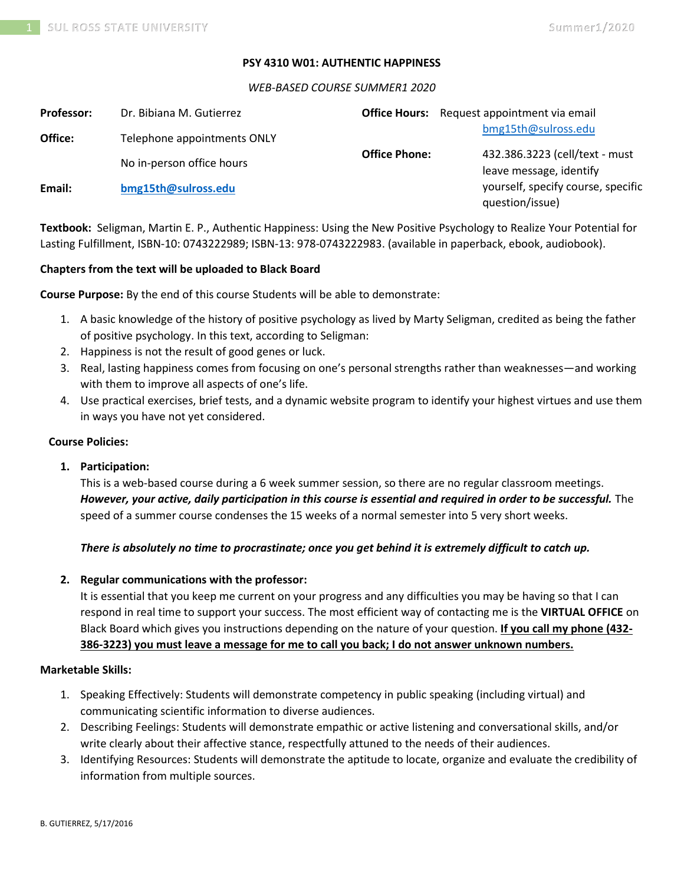### **PSY 4310 W01: AUTHENTIC HAPPINESS**

#### *WEB-BASED COURSE SUMMER1 2020*

| <b>Professor:</b> | Dr. Bibiana M. Gutierrez    |                      | <b>Office Hours:</b> Request appointment via email        |
|-------------------|-----------------------------|----------------------|-----------------------------------------------------------|
| Office:           | Telephone appointments ONLY |                      | bmg15th@sulross.edu                                       |
|                   | No in-person office hours   | <b>Office Phone:</b> | 432.386.3223 (cell/text - must<br>leave message, identify |
| Email:            | bmg15th@sulross.edu         |                      | yourself, specify course, specific<br>question/issue)     |

**Textbook:** Seligman, Martin E. P., Authentic Happiness: Using the New Positive Psychology to Realize Your Potential for Lasting Fulfillment, ISBN-10: 0743222989; ISBN-13: 978-0743222983. (available in paperback, ebook, audiobook).

### **Chapters from the text will be uploaded to Black Board**

**Course Purpose:** By the end of this course Students will be able to demonstrate:

- 1. A basic knowledge of the history of positive psychology as lived by Marty Seligman, credited as being the father of positive psychology. In this text, according to Seligman:
- 2. Happiness is not the result of good genes or luck.
- 3. Real, lasting happiness comes from focusing on one's personal strengths rather than weaknesses—and working with them to improve all aspects of one's life.
- 4. Use practical exercises, brief tests, and a dynamic website program to identify your highest virtues and use them in ways you have not yet considered.

#### **Course Policies:**

### **1. Participation:**

This is a web-based course during a 6 week summer session, so there are no regular classroom meetings. *However, your active, daily participation in this course is essential and required in order to be successful.* The speed of a summer course condenses the 15 weeks of a normal semester into 5 very short weeks.

### *There is absolutely no time to procrastinate; once you get behind it is extremely difficult to catch up.*

### **2. Regular communications with the professor:**

It is essential that you keep me current on your progress and any difficulties you may be having so that I can respond in real time to support your success. The most efficient way of contacting me is the **VIRTUAL OFFICE** on Black Board which gives you instructions depending on the nature of your question. **If you call my phone (432- 386-3223) you must leave a message for me to call you back; I do not answer unknown numbers.**

## **Marketable Skills:**

- 1. Speaking Effectively: Students will demonstrate competency in public speaking (including virtual) and communicating scientific information to diverse audiences.
- 2. Describing Feelings: Students will demonstrate empathic or active listening and conversational skills, and/or write clearly about their affective stance, respectfully attuned to the needs of their audiences.
- 3. Identifying Resources: Students will demonstrate the aptitude to locate, organize and evaluate the credibility of information from multiple sources.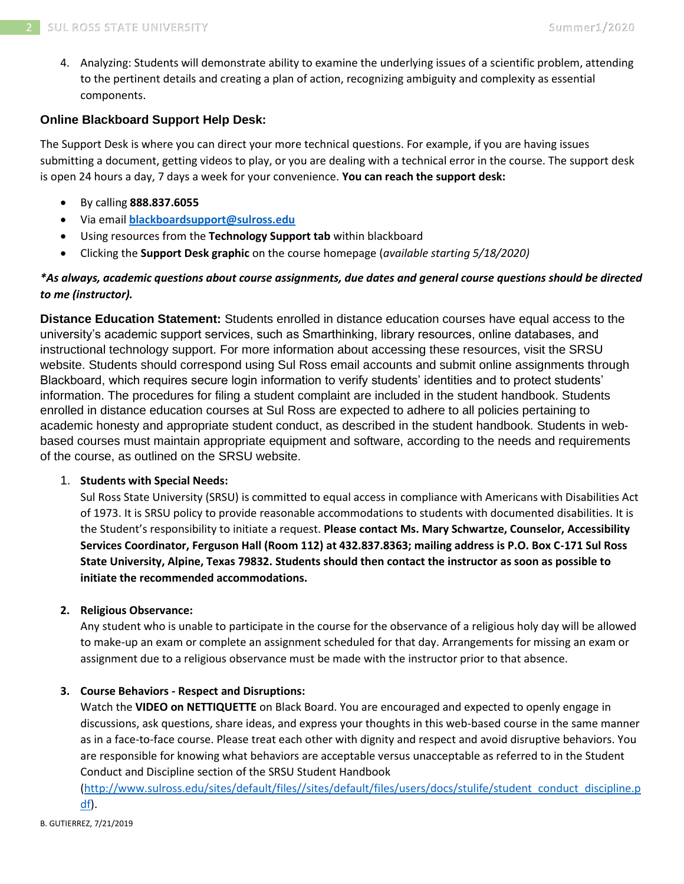4. Analyzing: Students will demonstrate ability to examine the underlying issues of a scientific problem, attending to the pertinent details and creating a plan of action, recognizing ambiguity and complexity as essential components.

# **Online Blackboard Support Help Desk:**

The Support Desk is where you can direct your more technical questions. For example, if you are having issues submitting a document, getting videos to play, or you are dealing with a technical error in the course. The support desk is open 24 hours a day, 7 days a week for your convenience. **You can reach the support desk:**

- By calling **888.837.6055**
- Via email **[blackboardsupport@sulross.edu](mailto:blackboardsupport@sulross.edu)**
- Using resources from the **Technology Support tab** within blackboard
- Clicking the **Support Desk graphic** on the course homepage (*available starting 5/18/2020)*

# *\*As always, academic questions about course assignments, due dates and general course questions should be directed to me (instructor).*

**Distance Education Statement:** Students enrolled in distance education courses have equal access to the university's academic support services, such as Smarthinking, library resources, online databases, and instructional technology support. For more information about accessing these resources, visit the SRSU website. Students should correspond using Sul Ross email accounts and submit online assignments through Blackboard, which requires secure login information to verify students' identities and to protect students' information. The procedures for filing a student complaint are included in the student handbook. Students enrolled in distance education courses at Sul Ross are expected to adhere to all policies pertaining to academic honesty and appropriate student conduct, as described in the student handbook. Students in webbased courses must maintain appropriate equipment and software, according to the needs and requirements of the course, as outlined on the SRSU website.

# 1. **Students with Special Needs:**

Sul Ross State University (SRSU) is committed to equal access in compliance with Americans with Disabilities Act of 1973. It is SRSU policy to provide reasonable accommodations to students with documented disabilities. It is the Student's responsibility to initiate a request. **Please contact Ms. Mary Schwartze, Counselor, Accessibility Services Coordinator, Ferguson Hall (Room 112) at 432.837.8363; mailing address is P.O. Box C-171 Sul Ross State University, Alpine, Texas 79832. Students should then contact the instructor as soon as possible to initiate the recommended accommodations.**

# **2. Religious Observance:**

Any student who is unable to participate in the course for the observance of a religious holy day will be allowed to make-up an exam or complete an assignment scheduled for that day. Arrangements for missing an exam or assignment due to a religious observance must be made with the instructor prior to that absence.

# **3. Course Behaviors - Respect and Disruptions:**

Watch the **VIDEO on NETTIQUETTE** on Black Board. You are encouraged and expected to openly engage in discussions, ask questions, share ideas, and express your thoughts in this web-based course in the same manner as in a face-to-face course. Please treat each other with dignity and respect and avoid disruptive behaviors. You are responsible for knowing what behaviors are acceptable versus unacceptable as referred to in the Student Conduct and Discipline section of the SRSU Student Handbook

[\(http://www.sulross.edu/sites/default/files//sites/default/files/users/docs/stulife/student\\_conduct\\_discipline.p](http://www.sulross.edu/sites/default/files/sites/default/files/users/docs/stulife/student_conduct_discipline.pdf) [df\)](http://www.sulross.edu/sites/default/files/sites/default/files/users/docs/stulife/student_conduct_discipline.pdf).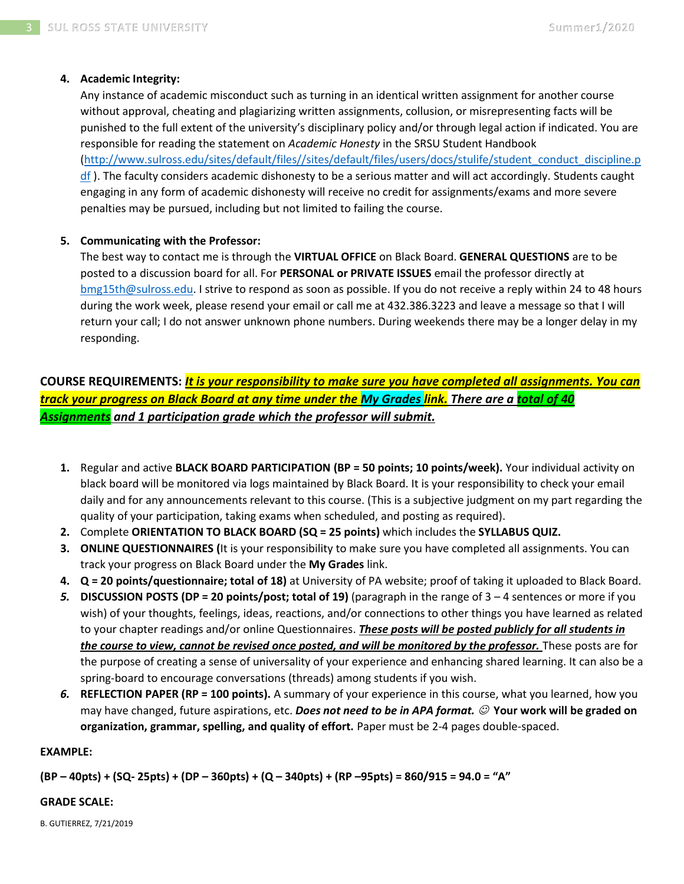## **4. Academic Integrity:**

Any instance of academic misconduct such as turning in an identical written assignment for another course without approval, cheating and plagiarizing written assignments, collusion, or misrepresenting facts will be punished to the full extent of the university's disciplinary policy and/or through legal action if indicated. You are responsible for reading the statement on *Academic Honesty* in the SRSU Student Handbook [\(http://www.sulross.edu/sites/default/files//sites/default/files/users/docs/stulife/student\\_conduct\\_discipline.p](http://www.sulross.edu/sites/default/files/sites/default/files/users/docs/stulife/student_conduct_discipline.pdf)  $df$ ). The faculty considers academic dishonesty to be a serious matter and will act accordingly. Students caught

engaging in any form of academic dishonesty will receive no credit for assignments/exams and more severe penalties may be pursued, including but not limited to failing the course.

## **5. Communicating with the Professor:**

The best way to contact me is through the **VIRTUAL OFFICE** on Black Board. **GENERAL QUESTIONS** are to be posted to a discussion board for all. For **PERSONAL or PRIVATE ISSUES** email the professor directly at [bmg15th@sulross.edu.](mailto:bmg15th@sulross.edu) I strive to respond as soon as possible. If you do not receive a reply within 24 to 48 hours during the work week, please resend your email or call me at 432.386.3223 and leave a message so that I will return your call; I do not answer unknown phone numbers. During weekends there may be a longer delay in my responding.

**COURSE REQUIREMENTS:** *It is your responsibility to make sure you have completed all assignments. You can track your progress on Black Board at any time under the My Grades link. There are a total of 40 Assignments and 1 participation grade which the professor will submit.*

- **1.** Regular and active **BLACK BOARD PARTICIPATION (BP = 50 points; 10 points/week).** Your individual activity on black board will be monitored via logs maintained by Black Board. It is your responsibility to check your email daily and for any announcements relevant to this course. (This is a subjective judgment on my part regarding the quality of your participation, taking exams when scheduled, and posting as required).
- **2.** Complete **ORIENTATION TO BLACK BOARD (SQ = 25 points)** which includes the **SYLLABUS QUIZ.**
- **3. ONLINE QUESTIONNAIRES (**It is your responsibility to make sure you have completed all assignments. You can track your progress on Black Board under the **My Grades** link.
- **4. Q = 20 points/questionnaire; total of 18)** at University of PA website; proof of taking it uploaded to Black Board.
- *5.* **DISCUSSION POSTS (DP = 20 points/post; total of 19)** (paragraph in the range of 3 4 sentences or more if you wish) of your thoughts, feelings, ideas, reactions, and/or connections to other things you have learned as related to your chapter readings and/or online Questionnaires. *These posts will be posted publicly for all students in the course to view, cannot be revised once posted, and will be monitored by the professor.* These posts are for the purpose of creating a sense of universality of your experience and enhancing shared learning. It can also be a spring-board to encourage conversations (threads) among students if you wish.
- *6.* **REFLECTION PAPER (RP = 100 points).** A summary of your experience in this course, what you learned, how you may have changed, future aspirations, etc. *Does not need to be in APA format.* ☺ **Your work will be graded on organization, grammar, spelling, and quality of effort.** Paper must be 2-4 pages double-spaced.

## **EXAMPLE:**

**(BP – 40pts) + (SQ- 25pts) + (DP – 360pts) + (Q – 340pts) + (RP –95pts) = 860/915 = 94.0 = "A"**

### **GRADE SCALE:**

B. GUTIERREZ, 7/21/2019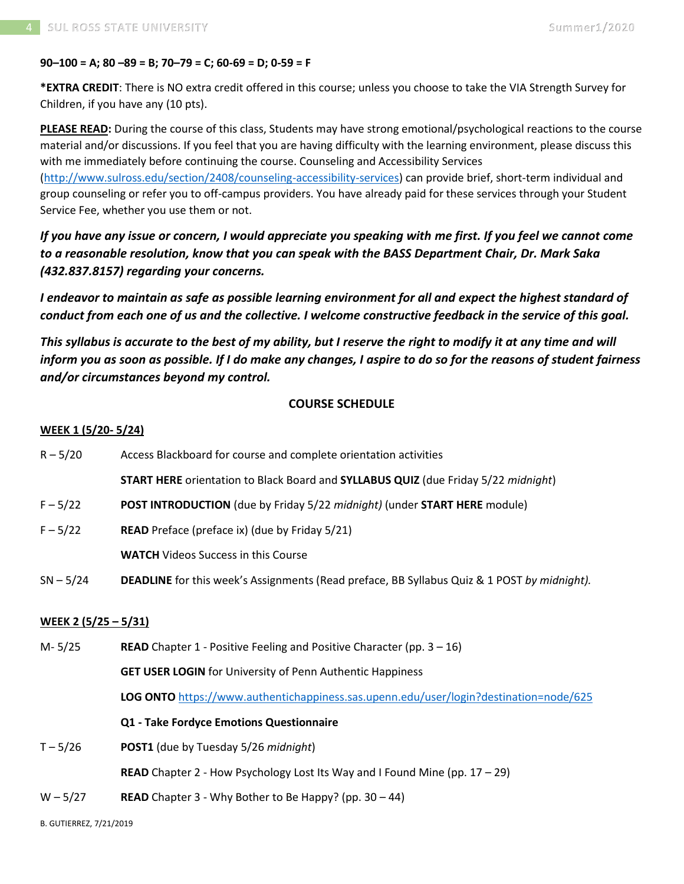## **90–100 = A; 80 –89 = B; 70–79 = C; 60-69 = D; 0-59 = F**

**\*EXTRA CREDIT**: There is NO extra credit offered in this course; unless you choose to take the VIA Strength Survey for Children, if you have any (10 pts).

**PLEASE READ:** During the course of this class, Students may have strong emotional/psychological reactions to the course material and/or discussions. If you feel that you are having difficulty with the learning environment, please discuss this with me immediately before continuing the course. Counseling and Accessibility Services [\(http://www.sulross.edu/section/2408/counseling-accessibility-services\)](http://www.sulross.edu/section/2408/counseling-accessibility-services) can provide brief, short-term individual and

group counseling or refer you to off-campus providers. You have already paid for these services through your Student Service Fee, whether you use them or not.

*If you have any issue or concern, I would appreciate you speaking with me first. If you feel we cannot come to a reasonable resolution, know that you can speak with the BASS Department Chair, Dr. Mark Saka (432.837.8157) regarding your concerns.*

*I endeavor to maintain as safe as possible learning environment for all and expect the highest standard of conduct from each one of us and the collective. I welcome constructive feedback in the service of this goal.*

*This syllabus is accurate to the best of my ability, but I reserve the right to modify it at any time and will inform you as soon as possible. If I do make any changes, I aspire to do so for the reasons of student fairness and/or circumstances beyond my control.*

# **COURSE SCHEDULE**

## **WEEK 1 (5/20- 5/24)**

| $R - 5/20$                  | Access Blackboard for course and complete orientation activities                                 |  |  |
|-----------------------------|--------------------------------------------------------------------------------------------------|--|--|
|                             | <b>START HERE</b> orientation to Black Board and <b>SYLLABUS QUIZ</b> (due Friday 5/22 midnight) |  |  |
| $F - 5/22$                  | POST INTRODUCTION (due by Friday 5/22 midnight) (under START HERE module)                        |  |  |
| $F - 5/22$                  | READ Preface (preface ix) (due by Friday 5/21)                                                   |  |  |
|                             | <b>WATCH</b> Videos Success in this Course                                                       |  |  |
| $SN - 5/24$                 | DEADLINE for this week's Assignments (Read preface, BB Syllabus Quiz & 1 POST by midnight).      |  |  |
| <u>WEEK 2 (5/25 - 5/31)</u> |                                                                                                  |  |  |
| $M - 5/25$                  | <b>READ</b> Chapter 1 - Positive Feeling and Positive Character (pp. $3 - 16$ )                  |  |  |
|                             | <b>GET USER LOGIN</b> for University of Penn Authentic Happiness                                 |  |  |
|                             | LOG ONTO https://www.authentichappiness.sas.upenn.edu/user/login?destination=node/625            |  |  |
|                             | Q1 - Take Fordyce Emotions Questionnaire                                                         |  |  |
| $T - 5/26$                  | POST1 (due by Tuesday 5/26 midnight)                                                             |  |  |
|                             | READ Chapter 2 - How Psychology Lost Its Way and I Found Mine (pp. 17 - 29)                      |  |  |
|                             |                                                                                                  |  |  |

 $W - 5/27$  **READ** Chapter 3 - Why Bother to Be Happy? (pp. 30 – 44)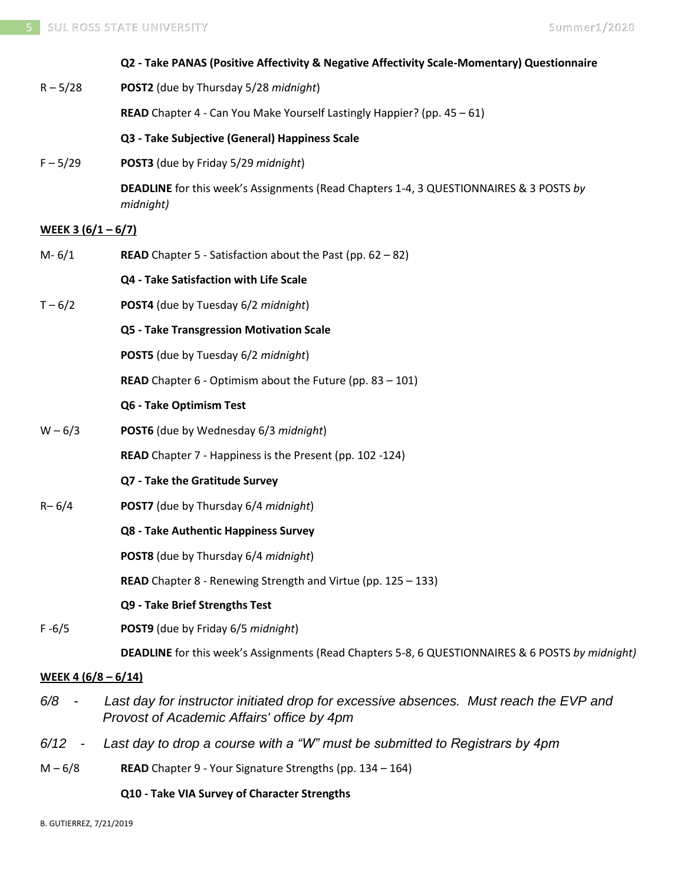|                            | Q2 - Take PANAS (Positive Affectivity & Negative Affectivity Scale-Momentary) Questionnaire                                         |
|----------------------------|-------------------------------------------------------------------------------------------------------------------------------------|
| $R - 5/28$                 | POST2 (due by Thursday 5/28 midnight)                                                                                               |
|                            | READ Chapter 4 - Can You Make Yourself Lastingly Happier? (pp. 45 - 61)                                                             |
|                            | Q3 - Take Subjective (General) Happiness Scale                                                                                      |
| $F - 5/29$                 | POST3 (due by Friday 5/29 midnight)                                                                                                 |
|                            | <b>DEADLINE</b> for this week's Assignments (Read Chapters 1-4, 3 QUESTIONNAIRES & 3 POSTS by<br>midnight)                          |
| <u>WEEK 3 (6/1 – 6/7)</u>  |                                                                                                                                     |
| $M - 6/1$                  | <b>READ</b> Chapter 5 - Satisfaction about the Past (pp. $62 - 82$ )                                                                |
|                            | Q4 - Take Satisfaction with Life Scale                                                                                              |
| $T - 6/2$                  | POST4 (due by Tuesday 6/2 midnight)                                                                                                 |
|                            | Q5 - Take Transgression Motivation Scale                                                                                            |
|                            | POST5 (due by Tuesday 6/2 midnight)                                                                                                 |
|                            | <b>READ</b> Chapter $6 -$ Optimism about the Future (pp. 83 - 101)                                                                  |
|                            | Q6 - Take Optimism Test                                                                                                             |
| $W - 6/3$                  | POST6 (due by Wednesday 6/3 midnight)                                                                                               |
|                            | READ Chapter 7 - Happiness is the Present (pp. 102 -124)                                                                            |
|                            | Q7 - Take the Gratitude Survey                                                                                                      |
| $R - 6/4$                  | POST7 (due by Thursday 6/4 midnight)                                                                                                |
|                            | Q8 - Take Authentic Happiness Survey                                                                                                |
|                            | <b>POST8</b> (due by Thursday 6/4 <i>midnight</i> )                                                                                 |
|                            | READ Chapter 8 - Renewing Strength and Virtue (pp. 125 - 133)                                                                       |
|                            | Q9 - Take Brief Strengths Test                                                                                                      |
| $F - 6/5$                  | POST9 (due by Friday 6/5 midnight)                                                                                                  |
|                            | DEADLINE for this week's Assignments (Read Chapters 5-8, 6 QUESTIONNAIRES & 6 POSTS by midnight)                                    |
| <u>WEEK 4 (6/8 – 6/14)</u> |                                                                                                                                     |
| 6/8                        | Last day for instructor initiated drop for excessive absences. Must reach the EVP and<br>Provost of Academic Affairs' office by 4pm |
| 6/12<br>$\sim$ $-$         | Last day to drop a course with a "W" must be submitted to Registrars by 4pm                                                         |
| $M - 6/8$                  | READ Chapter 9 - Your Signature Strengths (pp. 134 - 164)                                                                           |

**Q10 - Take VIA Survey of Character Strengths**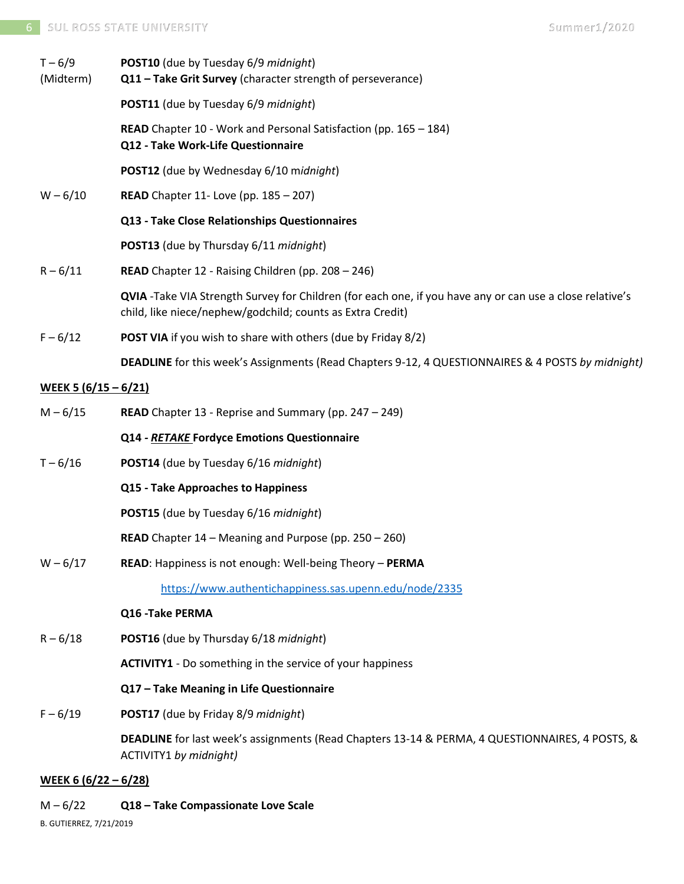| $T - 6/9$<br>(Midterm)      | POST10 (due by Tuesday 6/9 midnight)<br>Q11 - Take Grit Survey (character strength of perseverance)                                                                    |
|-----------------------------|------------------------------------------------------------------------------------------------------------------------------------------------------------------------|
|                             | POST11 (due by Tuesday 6/9 midnight)                                                                                                                                   |
|                             | <b>READ</b> Chapter 10 - Work and Personal Satisfaction (pp. 165 – 184)<br>Q12 - Take Work-Life Questionnaire                                                          |
|                             | POST12 (due by Wednesday 6/10 midnight)                                                                                                                                |
| $W - 6/10$                  | <b>READ</b> Chapter 11- Love (pp. 185 - 207)                                                                                                                           |
|                             | Q13 - Take Close Relationships Questionnaires                                                                                                                          |
|                             | POST13 (due by Thursday 6/11 midnight)                                                                                                                                 |
| $R - 6/11$                  | READ Chapter 12 - Raising Children (pp. 208 - 246)                                                                                                                     |
|                             | QVIA -Take VIA Strength Survey for Children (for each one, if you have any or can use a close relative's<br>child, like niece/nephew/godchild; counts as Extra Credit) |
| $F - 6/12$                  | <b>POST VIA</b> if you wish to share with others (due by Friday 8/2)                                                                                                   |
|                             | DEADLINE for this week's Assignments (Read Chapters 9-12, 4 QUESTIONNAIRES & 4 POSTS by midnight)                                                                      |
| <u>WEEK 5 (6/15 – 6/21)</u> |                                                                                                                                                                        |
| $M - 6/15$                  | <b>READ</b> Chapter 13 - Reprise and Summary (pp. $247 - 249$ )                                                                                                        |
|                             | Q14 - RETAKE Fordyce Emotions Questionnaire                                                                                                                            |
| $T - 6/16$                  | POST14 (due by Tuesday 6/16 midnight)                                                                                                                                  |
|                             | Q15 - Take Approaches to Happiness                                                                                                                                     |
|                             | POST15 (due by Tuesday 6/16 midnight)                                                                                                                                  |
|                             | <b>READ</b> Chapter 14 – Meaning and Purpose (pp. 250 – 260)                                                                                                           |
| $W - 6/17$                  | READ: Happiness is not enough: Well-being Theory - PERMA                                                                                                               |
|                             | https://www.authentichappiness.sas.upenn.edu/node/2335                                                                                                                 |
|                             | Q16 - Take PERMA                                                                                                                                                       |
| $R - 6/18$                  | POST16 (due by Thursday 6/18 midnight)                                                                                                                                 |
|                             | <b>ACTIVITY1</b> - Do something in the service of your happiness                                                                                                       |
|                             | Q17 - Take Meaning in Life Questionnaire                                                                                                                               |
| $F - 6/19$                  | POST17 (due by Friday 8/9 midnight)                                                                                                                                    |
|                             | DEADLINE for last week's assignments (Read Chapters 13-14 & PERMA, 4 QUESTIONNAIRES, 4 POSTS, &<br>ACTIVITY1 by midnight)                                              |
| <u>WEEK 6 (6/22 – 6/28)</u> |                                                                                                                                                                        |

M – 6/22 **Q18 – Take Compassionate Love Scale**

B. GUTIERREZ, 7/21/2019